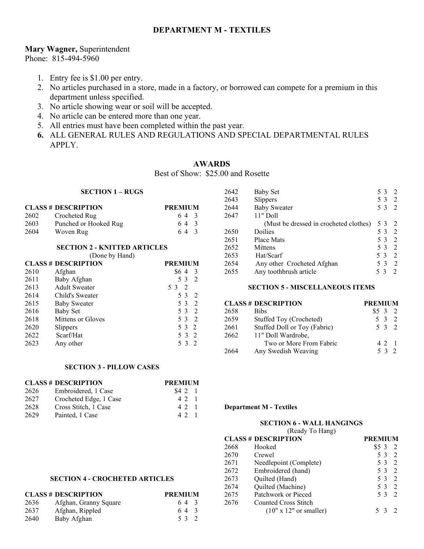# **DEPARTMENT M - TEXTILES**

## **Mary Wagner,** Superintendent

Phone: 815-494-5960

- 1. Entry fee is \$1.00 per entry.
- 2. No articles purchased in a store, made in a factory, or borrowed can compete for a premium in this department unless specified.
- 3. No article showing wear or soil will be accepted.
- 4. No article can be entered more than one year.
- 5. All entries must have been completed within the past year.
- **6.** ALL GENERAL RULES AND REGULATIONS AND SPECIAL DEPARTMENTAL RULES APPLY.

# **AWARDS**

Best of Show: \$25.00 and Rosette

### **SECTION 1 – RUGS**

|      | <b>CLASS # DESCRIPTION</b> | <b>PREMIUM</b> |
|------|----------------------------|----------------|
| 2602 | Crocheted Rug              | 64 3           |
| 2603 | Punched or Hooked Rug      | 64 3           |
| 2604 | Woven Rug                  | 64 3           |

#### **SECTION 2 - KNITTED ARTICLES**

(Done by Hand)

|      | <b>CLASS # DESCRIPTION</b> | <b>PREMIUM</b>        |
|------|----------------------------|-----------------------|
| 2610 | Afghan                     | \$64<br>- 3           |
| 2611 | Baby Afghan                | 53<br>$\mathcal{L}$   |
| 2613 | <b>Adult Sweater</b>       | $\overline{2}$<br>5 3 |
| 2614 | Child's Sweater            | 53<br>- 2             |
| 2615 | <b>Baby Sweater</b>        | 53<br>2               |
| 2616 | <b>Baby Set</b>            | 5 3<br>- 2            |
| 2618 | Mittens or Gloves          | 5 3<br>$\overline{2}$ |
| 2620 | Slippers                   | 5 3 2                 |
| 2622 | Scarf/Hat                  | 5 3 2                 |
| 2623 | Any other                  | 53<br>$\overline{2}$  |

### 2642 Baby Set 5 3 2 2643 Slippers 5 3 2<br>2644 Baby Sweater 5 3 2 2644 Baby Sweater 2647 11" Doll (Must be dressed in crocheted clothes) 5 3 2 2650 Doilies 5 3 2<br>2651 Place Mats 5 3 2 2651 Place Mats 2652 Mittens 5 3 2<br>2653 Hat/Scarf 5 3 2 2653 Hat/Scarf 5 3 2<br>2654 Any other Crocheted Afghan 5 3 2 2654 Any other Crocheted Afghan 2655 Any toothbrush article 5 3 2

#### **SECTION 5 - MISCELLANEOUS ITEMS**

# **CLASS # DESCRIPTION PREMIUM**

| 2658 | <b>Bibs</b>                  | $$5 \; 3 \; 2$ |  |
|------|------------------------------|----------------|--|
| 2659 | Stuffed Toy (Crocheted)      | 5 3 2          |  |
| 2661 | Stuffed Doll or Toy (Fabric) | 5 3 2          |  |
| 2662 | 11" Doll Wardrobe,           |                |  |
|      | Two or More From Fabric      | 4 2 1          |  |
| 2664 | Any Swedish Weaving          | 5 3 2          |  |

## **SECTION 3 - PILLOW CASES**

|      | <b>CLASS # DESCRIPTION</b> | <b>PREMIUM</b> |  |  |
|------|----------------------------|----------------|--|--|
| 2626 | Embroidered, 1 Case        | \$421          |  |  |
| 2627 | Crocheted Edge, 1 Case     | 4 2 1          |  |  |
| 2628 | Cross Stitch, 1 Case       | 4 2 1          |  |  |
| 2629 | Painted, 1 Case            | 42             |  |  |

#### **Department M - Textiles**

# **SECTION 6 - WALL HANGINGS**

(Ready To Hang)

|      | <b>CLASS # DESCRIPTION</b> | <b>PREMIUM</b> |                |
|------|----------------------------|----------------|----------------|
| 2668 | Hooked                     | $$5\,3$        |                |
| 2670 | Crewel                     | 53             | 2              |
| 2671 | Needlepoint (Complete)     | 5 3            | $\overline{2}$ |
| 2672 | Embroidered (hand)         | 5 3            | $\overline{2}$ |
| 2673 | Quilted (Hand)             | 5 3            | $\overline{2}$ |
| 2674 | Quilted (Machine)          | 5 3            |                |
| 2675 | Patchwork or Pieced        | 5 3            |                |
| 2676 | Counted Cross Stitch       |                |                |
|      | $(10" x 12"$ or smaller)   |                |                |

#### **SECTION 4 - CROCHETED ARTICLES**

| <b>CLASS # DESCRIPTION</b> |                       | <b>PREMIUM</b> |
|----------------------------|-----------------------|----------------|
| 2636                       | Afghan, Granny Square | 64 3           |
| 2637                       | Afghan, Rippled       | 64 3           |
| 2640                       | Baby Afghan           | 53 2           |